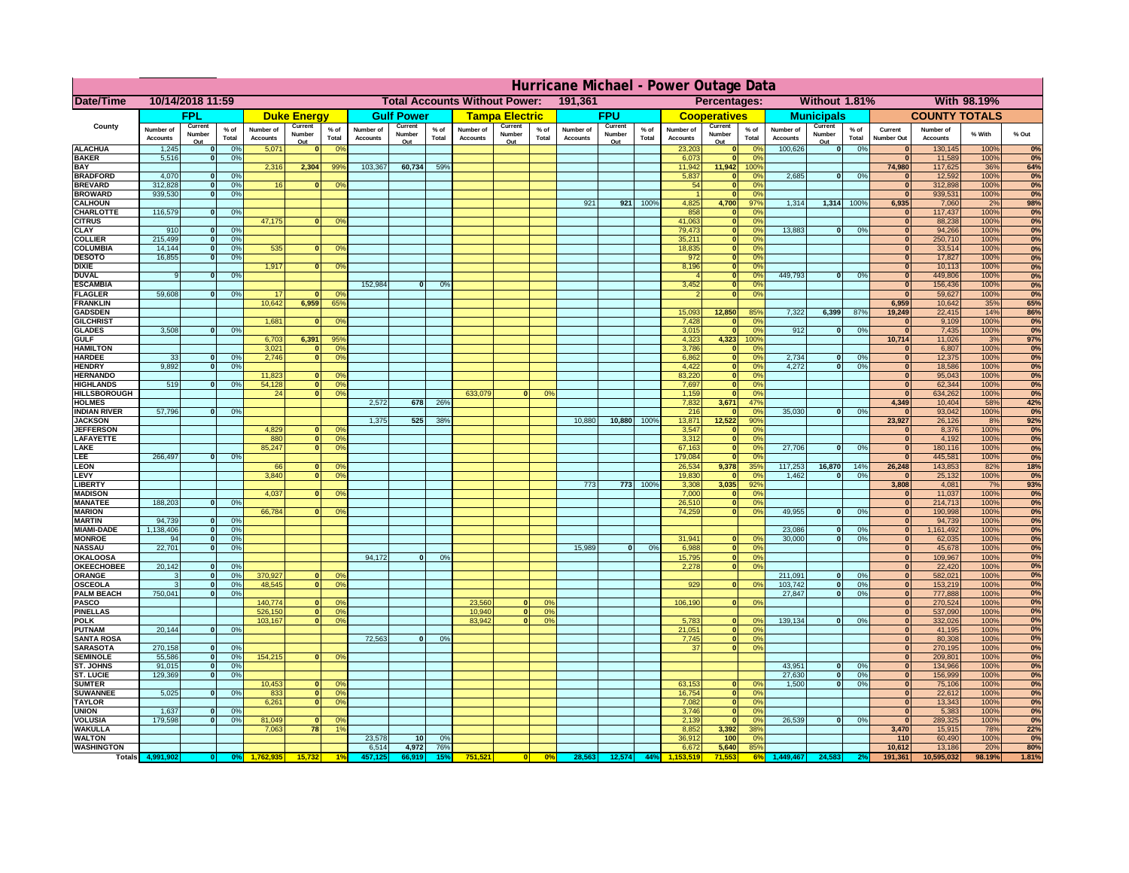|                                      | Hurricane Michael - Power Outage Data |                              |                      |                              |                                  |                                                 |                              |                   |                 |                              |                       |                                              |                       |                   |                 |                              |                                |                                  |                              |                                  |                 |                              |                              |               |                  |
|--------------------------------------|---------------------------------------|------------------------------|----------------------|------------------------------|----------------------------------|-------------------------------------------------|------------------------------|-------------------|-----------------|------------------------------|-----------------------|----------------------------------------------|-----------------------|-------------------|-----------------|------------------------------|--------------------------------|----------------------------------|------------------------------|----------------------------------|-----------------|------------------------------|------------------------------|---------------|------------------|
| Date/Time                            | 10/14/2018 11:59                      |                              |                      |                              |                                  | 191,361<br><b>Total Accounts Without Power:</b> |                              |                   |                 |                              |                       | Without 1.81%<br>With 98.19%<br>Percentages: |                       |                   |                 |                              |                                |                                  |                              |                                  |                 |                              |                              |               |                  |
|                                      |                                       | FPL                          |                      |                              | <b>Duke Energy</b>               |                                                 |                              | <b>Gulf Power</b> |                 |                              | <b>Tampa Electric</b> |                                              |                       | <b>FPU</b>        |                 |                              | <b>Cooperatives</b>            |                                  |                              | <b>Municipals</b>                |                 |                              | <b>COUNTY TOTALS</b>         |               |                  |
| County                               | Number of<br><b>Accounts</b>          | Current<br>Number            | $%$ of<br>Total      | Number of<br><b>Accounts</b> | Current<br>Number                | $%$ of<br>Total                                 | Number of<br><b>Accounts</b> | Current<br>Number | $%$ of<br>Total | Number of<br><b>Accounts</b> | Current<br>Number     | $%$ of<br>Total                              | Number of<br>Accounts | Current<br>Number | $%$ of<br>Total | Number of<br><b>Accounts</b> | Current<br>Number              | $%$ of<br>Total                  | Number of<br><b>Accounts</b> | Current<br>Number                | $%$ of<br>Total | Current<br><b>Number Out</b> | Number of<br><b>Accounts</b> | % With        | % Out            |
| <b>ALACHUA</b>                       | 1,245                                 | Out<br>$\mathbf{0}$          | 0%                   | 5,071                        | Out<br>$\mathbf{0}$              | 0 <sup>9</sup>                                  |                              | Out               |                 |                              | Out                   |                                              |                       | Out               |                 | 23,203                       | Out<br>$\mathbf{0}$            | $\Omega$ <sup>c</sup>            | 100,626                      | Out<br> 0                        | 0%              | $\bf{0}$                     | 130,145                      | 100%          | 0%               |
| <b>BAKER</b>                         | 5,516                                 | $\mathbf{0}$                 | 0%                   |                              |                                  |                                                 |                              |                   |                 |                              |                       |                                              |                       |                   |                 | 6,073                        | $\mathbf{0}$                   | 0 <sup>9</sup>                   |                              |                                  |                 | $\bf{0}$                     | 11,589                       | 100%          | 0%               |
| <b>BAY</b><br><b>BRADFORD</b>        | 4,070                                 | $\mathbf{0}$                 | 0%                   | 2,316                        | 2,304                            | 99%                                             | 103,367                      | 60,734            | 59%             |                              |                       |                                              |                       |                   |                 | 11,942<br>5,837              | 11,942<br>$\mathbf{0}$         | 100%<br>0 <sup>9</sup>           | 2,685                        | 0                                | 0%              | 74,980<br>$\bf{0}$           | 117,625<br>12,592            | 36%<br>100%   | 64%<br>0%        |
| <b>BREVARD</b>                       | 312,828                               | $\mathbf{0}$                 | 0%                   | 16                           | $\mathbf{0}$                     | 0 <sup>o</sup>                                  |                              |                   |                 |                              |                       |                                              |                       |                   |                 | 54                           | $\mathbf{0}$                   | 0 <sup>9</sup>                   |                              |                                  |                 | $\bf{0}$                     | 312,898                      | 100%          | 0%               |
| <b>BROWARD</b>                       | 939.530                               | $\Omega$                     | 0%                   |                              |                                  |                                                 |                              |                   |                 |                              |                       |                                              | 921                   |                   |                 |                              | $\Omega$                       | $^{\circ}$                       |                              |                                  |                 | $\bf{0}$                     | 939,531                      | 100%          | 0%               |
| <b>CALHOUN</b><br>CHARLOTTE          | 116,579                               | $\mathbf{0}$                 | 0%                   |                              |                                  |                                                 |                              |                   |                 |                              |                       |                                              |                       | 921               | 100%            | 4,825<br>858                 | 4,700                          | 97%<br>0%                        | 1,314                        | 1,314                            | 100%            | 6,935<br>$\bf{0}$            | 7,060<br>117,437             | 2%<br>100%    | 98%<br>0%        |
| <b>CITRUS</b>                        |                                       |                              |                      | 47,175                       | $\mathbf{0}$                     | 0 <sup>o</sup>                                  |                              |                   |                 |                              |                       |                                              |                       |                   |                 | 41,063                       | $\mathbf{0}$                   | $\Omega$ <sup>c</sup>            |                              |                                  |                 | $\bf{0}$                     | 88,238                       | 100%          | 0%               |
| <b>CLAY</b><br><b>COLLIER</b>        | 910<br>215,499                        | $\mathbf{0}$<br>$\mathbf{0}$ | 0%<br>0 <sup>9</sup> |                              |                                  |                                                 |                              |                   |                 |                              |                       |                                              |                       |                   |                 | 79,473<br>35,211             | $\mathbf{0}$<br>$\mathbf{0}$   | 0 <sup>9</sup><br>0 <sup>9</sup> | 13,883                       | 0                                | 0%              | $\mathbf{0}$<br>$\mathbf{0}$ | 94,266<br>250,710            | 100%<br>100%  | 0%<br>0%         |
| <b>COLUMBIA</b>                      | 14,144                                | $\mathbf{0}$                 | 0 <sup>9</sup>       | 535                          | $\bf{0}$                         | 0 <sup>9</sup>                                  |                              |                   |                 |                              |                       |                                              |                       |                   |                 | 18,835                       | $\mathbf{0}$                   | 0 <sup>9</sup>                   |                              |                                  |                 | $\bf{0}$                     | 33,514                       | 100%          | 0%               |
| <b>DESOTO</b>                        | 16,855                                | $\mathbf{0}$                 | 0%                   |                              |                                  |                                                 |                              |                   |                 |                              |                       |                                              |                       |                   |                 | 972                          | $\mathbf{0}$                   | 0 <sup>9</sup>                   |                              |                                  |                 | $\bf{0}$                     | 17,827                       | 100%          | 0%               |
| <b>DIXIE</b><br><b>DUVAL</b>         | 9                                     | $\Omega$                     | 0%                   | 1,917                        | $\Omega$                         | 0 <sup>9</sup>                                  |                              |                   |                 |                              |                       |                                              |                       |                   |                 | 8,196                        | $\mathbf{0}$<br>$\mathbf{0}$   | 0 <sup>9</sup><br>0 <sup>9</sup> | 449.793                      | $\mathbf{0}$                     | 0%              | $\bf{0}$<br>$\bf{0}$         | 10,113<br>449,806            | 100%<br>100%  | 0%<br>0%         |
| <b>ESCAMBIA</b>                      |                                       |                              |                      |                              |                                  |                                                 | 152,984                      | $\Omega$          | 0%              |                              |                       |                                              |                       |                   |                 | 3,452                        | $\mathbf{0}$                   | 0%                               |                              |                                  |                 | $\bf{0}$                     | 156,436                      | 100%          | 0%               |
| <b>FLAGLER</b>                       | 59,608                                | $\mathbf{o}$                 | 0%                   | $-17$                        | 6,959                            | 0°                                              |                              |                   |                 |                              |                       |                                              |                       |                   |                 |                              | $\mathbf{0}$                   | 0%                               |                              |                                  |                 | $\sqrt{2}$                   | 59,627                       | 100%          | 0%               |
| <b>FRANKLIN</b><br><b>GADSDEN</b>    |                                       |                              |                      | 10,642                       |                                  | 65%                                             |                              |                   |                 |                              |                       |                                              |                       |                   |                 | 15,093                       | 12,850                         | 85%                              | 7,322                        | 6,399                            | 87%             | 6,959<br>19,249              | 10,642<br>22,415             | 35%<br>14%    | 65%<br>86%       |
| <b>GILCHRIST</b>                     |                                       |                              |                      | 1,681                        | $\mathbf{0}$                     | 0 <sup>9</sup>                                  |                              |                   |                 |                              |                       |                                              |                       |                   |                 | 7,428                        | $\mathbf{0}$                   | 0%                               |                              |                                  |                 | $\mathbf{0}$                 | 9,109                        | 100%          | 0%               |
| <b>GLADES</b><br><b>GULF</b>         | 3,508                                 | nl                           | 0%                   | 6,703                        | 6,391                            | 95%                                             |                              |                   |                 |                              |                       |                                              |                       |                   |                 | 3,015<br>4,323               | $\Omega$<br>4,323              | 0 <sup>9</sup><br>100%           | 912                          | $\mathbf{0}$                     | 0%              | $\overline{0}$<br>10,714     | 7,435<br>11,026              | 100%<br>3%    | 0%<br>97%        |
| <b>HAMILTON</b>                      |                                       |                              |                      | 3,021                        | $\Omega$                         | 0 <sup>9</sup>                                  |                              |                   |                 |                              |                       |                                              |                       |                   |                 | 3,786                        | $\Omega$                       | 0 <sup>9</sup>                   |                              |                                  |                 | $\bf{0}$                     | 6,807                        | 100%          | 0%               |
| <b>HARDEE</b>                        | 33                                    | $\mathbf{0}$                 | 0%                   | 2.746                        | $\Omega$                         | 0 <sup>9</sup>                                  |                              |                   |                 |                              |                       |                                              |                       |                   |                 | 6.862                        | $\mathbf{0}$                   | 0%                               | 2.734                        | $\mathbf{0}$                     | 0%              | $\mathbf{0}$                 | 12,375                       | 100%          | 0%               |
| <b>HENDRY</b><br><b>HERNANDO</b>     | 9.892                                 | 0I                           | 0%                   | 11,823                       |                                  | 0 <sup>9</sup>                                  |                              |                   |                 |                              |                       |                                              |                       |                   |                 | 4.422<br>83,220              | $\overline{0}$<br>$\mathbf{0}$ | 0%<br>0%                         | 4.272                        | $\overline{0}$                   | 0%              | $\mathbf{0}$<br>$\mathbf{0}$ | 18,586<br>95,043             | 100%<br>100%  | 0%<br>0%         |
| <b>HIGHLANDS</b>                     | 519                                   |                              | 0%                   | 54,128                       | 0                                | 0 <sup>9</sup>                                  |                              |                   |                 |                              |                       |                                              |                       |                   |                 | 7,697                        | $\mathbf{0}$                   | 0%                               |                              |                                  |                 | $\mathbf{0}$                 | 62,344                       | 100%          | 0%               |
| <b>HILLSBOROUGH</b>                  |                                       |                              |                      | 24                           | $\overline{0}$                   | 0%                                              |                              |                   |                 | 633,079                      |                       | 0%                                           |                       |                   |                 | 1,159                        | $\mathbf{0}$                   | 0%                               |                              |                                  |                 | $\bf{0}$                     | 634,262                      | 100%          | 0%               |
| <b>HOLMES</b><br><b>INDIAN RIVER</b> | 57,796                                | $\mathbf{0}$                 | 0%                   |                              |                                  |                                                 | 2,572                        | 678               | 26%             |                              |                       |                                              |                       |                   |                 | 7,832<br>216                 | 3,671                          | 47%<br>0 <sup>9</sup>            | 35,030                       | $\mathbf{0}$                     | 0%              | 4,349<br>$\bf{0}$            | 10,404<br>93,042             | 58%<br>100%   | <b>42%</b><br>0% |
| <b>JACKSON</b>                       |                                       |                              |                      |                              |                                  |                                                 | 1.375                        | 525               | 38 <sup>°</sup> |                              |                       |                                              | 10,880                | 10,880            | 100%            | 13,871                       | 12,522                         | 90%                              |                              |                                  |                 | 23,927                       | 26,126                       | 8%            | 92%              |
| <b>JEFFERSOI</b>                     |                                       |                              |                      | 4,829                        | n.                               | O <sup>9</sup>                                  |                              |                   |                 |                              |                       |                                              |                       |                   |                 | 3,547                        | $\mathbf{0}$                   | 0 <sup>9</sup>                   |                              |                                  |                 | $\bf{0}$                     | 8,376                        | 100%          | 0%               |
| <b>LAFAYETTE</b><br>LAKE             |                                       |                              |                      | 880<br>85,247                | $\overline{0}$<br>$\overline{0}$ | 0 <sup>9</sup><br>0 <sup>9</sup>                |                              |                   |                 |                              |                       |                                              |                       |                   |                 | 3,312<br>67,163              | $\mathbf{0}$<br>$\mathbf{0}$   | 0%<br>0 <sup>9</sup>             | 27,706                       | $\Omega$                         | 0%              | $\mathbf{0}$<br>$\mathbf{0}$ | 4,192<br>180,116             | 100%<br>100%  | 0%<br>0%         |
| LEE                                  | 266,497                               | nl                           | 0%                   |                              |                                  |                                                 |                              |                   |                 |                              |                       |                                              |                       |                   |                 | 179,084                      | $\Omega$                       | 0%                               |                              |                                  |                 | $\mathbf{0}$                 | 445,581                      | 100%          | 0%               |
| LEON                                 |                                       |                              |                      | 66                           |                                  | 0 <sup>o</sup>                                  |                              |                   |                 |                              |                       |                                              |                       |                   |                 | 26,534                       | 9,378                          | 35%                              | 117,253                      | 16,870                           | 14%             | 26,248                       | 143,853                      | 82%           | 18%              |
| LEVY<br>LIBERTY                      |                                       |                              |                      | 3,840                        | $\Omega$                         | 0 <sup>9</sup>                                  |                              |                   |                 |                              |                       |                                              | 773                   | 773               | 100%            | 19,830<br>3,308              | 3,035                          | 0 <sup>9</sup><br>92%            | 1,462                        | $\bf{0}$                         | 0%              | $\mathbf{0}$<br>3,808        | 25,132<br>4,081              | 100%<br>7%    | 0%<br><b>93%</b> |
| <b>MADISON</b>                       |                                       |                              |                      | 4,037                        |                                  | 0 <sup>9</sup>                                  |                              |                   |                 |                              |                       |                                              |                       |                   |                 | 7,000                        |                                | 0%                               |                              |                                  |                 | $\mathbf{0}$                 | 11,037                       | 100%          | 0%               |
| <b>MANATEE</b>                       | 188,203                               | $\mathbf{0}$                 | 0%                   | 66,784                       |                                  |                                                 |                              |                   |                 |                              |                       |                                              |                       |                   |                 | 26,510                       | $\Omega$                       | 0%                               | 49,955                       |                                  |                 | 0                            | 214,713                      | 100%          | 0%<br>0%         |
| <b>MARION</b><br><b>MARTIN</b>       | 94,739                                | 0                            | 0%                   |                              |                                  | 0°                                              |                              |                   |                 |                              |                       |                                              |                       |                   |                 | 74,259                       |                                | 0%                               |                              | $\mathbf{0}$                     | 0%              | 0 <br> 0                     | 190,998<br>94,739            | 100%<br>100%  | 0%               |
| <b>MIAMI-DADE</b>                    | 1,138,406                             | 0                            | 0%                   |                              |                                  |                                                 |                              |                   |                 |                              |                       |                                              |                       |                   |                 |                              |                                |                                  | 23,086                       | $\Omega$                         | 0%              | 0                            | 1,161,492                    | 100%          | 0%               |
| <b>MONROE</b>                        | 94<br>22,701                          | 0 <br> 0                     | 0%                   |                              |                                  |                                                 |                              |                   |                 |                              |                       |                                              | 15,989                | 0                 | 0%              | 31,941                       | $\mathbf{0}$                   | 0 <sup>o</sup><br>0 <sup>9</sup> | 30,000                       | $\Omega$                         | 0%              | $\mathbf{0}$<br>$\mathbf{0}$ | 62,035                       | 100%<br>100%  | 0%<br>0%         |
| <b>NASSAU</b><br>OKALOOS/            |                                       |                              | 0%                   |                              |                                  |                                                 | 94,172                       | $\mathbf{0}$      | 0%              |                              |                       |                                              |                       |                   |                 | 6,988<br>15,795              | 0                              | 0%                               |                              |                                  |                 | $\mathbf{0}$                 | 45,678<br>109,967            | 100%          | 0%               |
| <b>OKEECHOBEE</b>                    | 20,142                                | 0                            | 0%                   |                              |                                  |                                                 |                              |                   |                 |                              |                       |                                              |                       |                   |                 | 2,278                        | 0                              | 0%                               |                              |                                  |                 | $\mathbf{0}$                 | 22,420                       | 100%          | 0%               |
| ORANGE<br><b>OSCEOLA</b>             | 3<br>3                                | 0 <br><b>0</b>               | 0%<br>0%             | 370,927<br>48,545            | $\mathbf{0}$<br>$\Omega$         | 0 <sup>o</sup><br>0 <sup>9</sup>                |                              |                   |                 |                              |                       |                                              |                       |                   |                 | 929                          | $\Omega$                       | 0 <sup>9</sup>                   | 211,091<br>103,742           | 0 <br> 0                         | 0%<br>0%        | $\mathbf{0}$<br> 0           | 582,021<br>153,219           | 100%<br>100%  | 0%<br>0%         |
| <b>PALM BEACH</b>                    | 750,041                               | 0                            | 0%                   |                              |                                  |                                                 |                              |                   |                 |                              |                       |                                              |                       |                   |                 |                              |                                |                                  | 27,847                       | $\mathbf{0}$                     | 0%              | $\mathbf{0}$                 | 777,888                      | 100%          | 0%               |
| <b>PASCO</b>                         |                                       |                              |                      | 140,774                      | $\mathbf{0}$                     | 0 <sup>9</sup>                                  |                              |                   |                 | 23,560                       | $\Omega$              | 0 <sup>9</sup>                               |                       |                   |                 | 106,190                      | 0                              | 0 <sup>9</sup>                   |                              |                                  |                 | $\mathbf{0}$<br>$\mathbf{0}$ | 270,524                      | 100%          | 0%               |
| <b>PINELLAS</b><br><b>POLK</b>       |                                       |                              |                      | 526,150<br>103,167           | $\Omega$<br> 0                   | 0 <sup>9</sup><br>0 <sup>9</sup>                |                              |                   |                 | 10,940<br>83,942             | 0 <br> 0              | 0%<br>0%                                     |                       |                   |                 | 5,783                        | $\Omega$                       | no                               | 139,134                      | 0                                | 0%              | $\mathbf{0}$                 | 537,090<br>332,026           | 100%<br>100%  | 0%<br>0%         |
| <b>PUTNAM</b>                        | 20,144                                | 0                            | 0%                   |                              |                                  |                                                 |                              |                   |                 |                              |                       |                                              |                       |                   |                 | 21,051                       | $\mathbf{0}$                   | 0 <sup>9</sup>                   |                              |                                  |                 | $\mathbf{0}$                 | 41,195                       | 100%          | 0%               |
| <b>SANTA ROSA</b><br><b>SARASOTA</b> | 270,158                               | 0                            | 0%                   |                              |                                  |                                                 | 72,563                       | 0                 | 0%              |                              |                       |                                              |                       |                   |                 | 7,745<br>37                  | 0 <br>-ol                      | 0%<br>0%                         |                              |                                  |                 | $\mathbf{0}$<br>$\mathbf{0}$ | 80,308                       | 100%<br>100%  | 0%               |
| <b>SEMINOLE</b>                      | 55,586                                | 0                            | 0%                   | 154,215                      | $\mathbf{0}$                     | 0 <sup>9</sup>                                  |                              |                   |                 |                              |                       |                                              |                       |                   |                 |                              |                                |                                  |                              |                                  |                 | $\mathbf{0}$                 | 270,195<br>209,801           | 100%          | 0%<br>0%         |
| <b>ST. JOHNS</b>                     | 91,015                                | 0                            | 0%                   |                              |                                  |                                                 |                              |                   |                 |                              |                       |                                              |                       |                   |                 |                              |                                |                                  | 43,951                       | 0                                | 0%              | $\mathbf{0}$                 | 134,966                      | 100%          | 0%               |
| <b>ST. LUCIE</b><br><b>SUMTER</b>    | 129.369                               | $\mathbf{0}$                 | 0%                   | 10,453                       | $\mathbf{0}$                     | 0 <sup>9</sup>                                  |                              |                   |                 |                              |                       |                                              |                       |                   |                 | 63,153                       | $\mathbf{0}$                   | 0 <sup>o</sup>                   | 27,630<br>1.500              | $\overline{0}$<br>$\overline{0}$ | 0%<br>0%        | 0 <br>$\mathbf{0}$           | 156.999<br>75,106            | 100%<br>100%  | 0%<br>0%         |
| <b>SUWANNEE</b>                      | 5,025                                 | $\Omega$                     | 0%                   | 833                          | 0                                | 0 <sup>9</sup>                                  |                              |                   |                 |                              |                       |                                              |                       |                   |                 | 16,754                       | $\mathbf{0}$                   | 0 <sup>9</sup>                   |                              |                                  |                 | $\mathbf{0}$                 | 22,612                       | 100%          | 0%               |
| <b>TAYLOR</b>                        |                                       |                              |                      | 6,261                        | 0                                | 0 <sup>9</sup>                                  |                              |                   |                 |                              |                       |                                              |                       |                   |                 | 7,082                        | $\mathbf{0}$                   | 0%                               |                              |                                  |                 | $\mathbf{0}$                 | 13,343                       | 100%          | 0%               |
| <b>UNION</b><br><b>VOLUSIA</b>       | 1,637<br>179,598                      | $\mathbf{0}$<br>$\mathbf{0}$ | 0%<br>0%             | 81,049                       | $\mathbf{0}$                     | 0 <sup>9</sup>                                  |                              |                   |                 |                              |                       |                                              |                       |                   |                 | 3,746<br>2,139               | $\mathbf{0}$                   | 0 <sup>9</sup><br>0 <sup>9</sup> | 26,539                       | 0                                | 0%              | $\mathbf{0}$<br>$\mathbf{0}$ | 5,383<br>289,325             | 100%<br>100%  | 0%<br>0%         |
| <b>WAKULLA</b>                       |                                       |                              |                      | 7,063                        | 78                               | 1 <sup>9</sup>                                  |                              |                   |                 |                              |                       |                                              |                       |                   |                 | 8,852                        | 3,392                          | 38%                              |                              |                                  |                 | 3,470                        | 15,915                       | 78%           | 22%              |
| <b>WALTON</b>                        |                                       |                              |                      |                              |                                  |                                                 | 23,578                       | 10                | 0%              |                              |                       |                                              |                       |                   |                 | 36,912                       | 100                            | 0 <sup>9</sup>                   |                              |                                  |                 | 110                          | 60,490                       | 100%          | 0%               |
| <b>WASHINGTON</b><br><b>Totals</b>   |                                       |                              |                      |                              |                                  |                                                 | 6,514                        | 4,972             | 76%             | 751,521                      |                       | 0%                                           | 28,563                | 12,574            | 44%             | 6,672                        | 5,640<br>71.55                 | 85%                              |                              |                                  |                 | 10,612<br>191,361            | 13,186<br>10,595,032         | 20%<br>98.19% | 80%<br>1.81%     |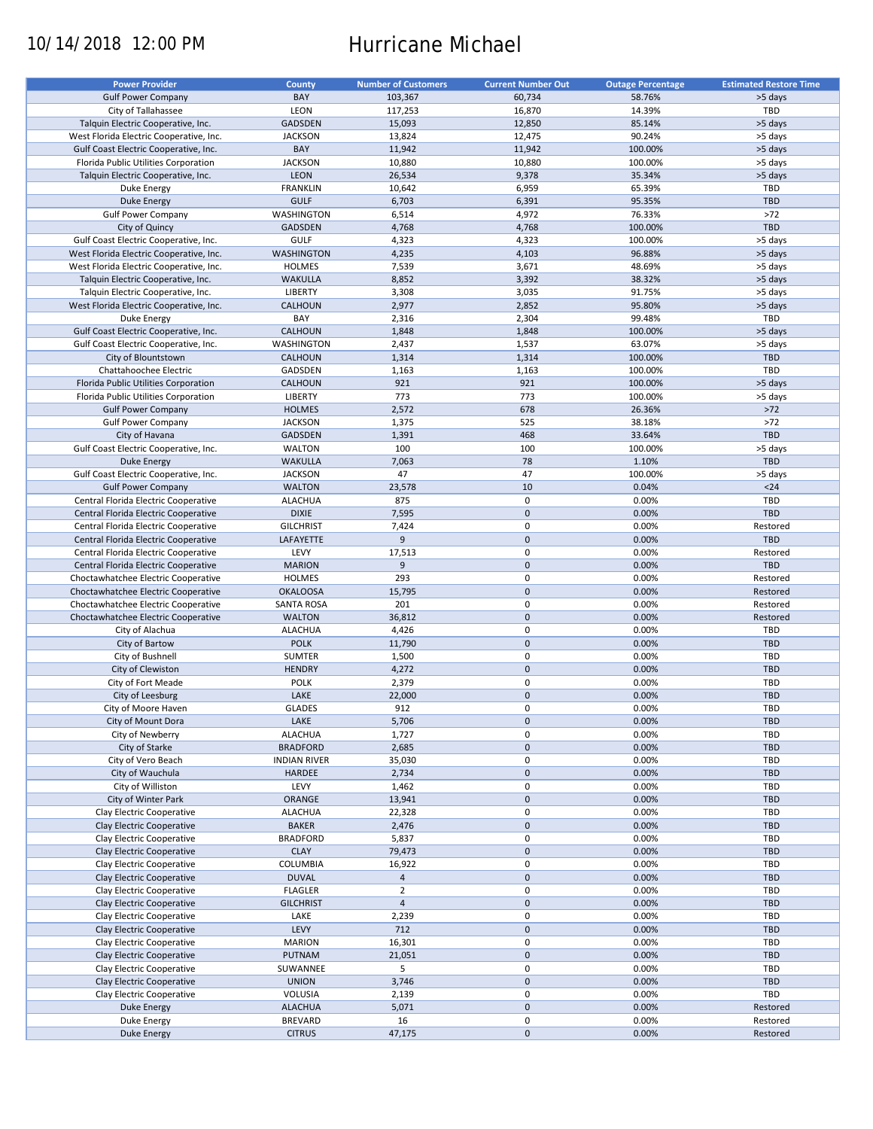# 10/14/2018 12:00 PM Hurricane Michael

| <b>Power Provider</b>                   | <b>County</b>       | <b>Number of Customers</b> | <b>Current Number Out</b> | <b>Outage Percentage</b> | <b>Estimated Restore Time</b> |
|-----------------------------------------|---------------------|----------------------------|---------------------------|--------------------------|-------------------------------|
| <b>Gulf Power Company</b>               | BAY                 | 103,367                    | 60,734                    | 58.76%                   | >5 days                       |
| City of Tallahassee                     | LEON                | 117,253                    | 16,870                    | 14.39%                   | TBD                           |
| Talquin Electric Cooperative, Inc.      | <b>GADSDEN</b>      | 15,093                     | 12,850                    | 85.14%                   | >5 days                       |
| West Florida Electric Cooperative, Inc. | <b>JACKSON</b>      | 13,824                     | 12,475                    | 90.24%                   | >5 days                       |
| Gulf Coast Electric Cooperative, Inc.   | BAY                 | 11,942                     | 11,942                    | 100.00%                  | >5 days                       |
| Florida Public Utilities Corporation    | <b>JACKSON</b>      | 10,880                     | 10,880                    | 100.00%                  | >5 days                       |
|                                         |                     |                            |                           |                          |                               |
| Talquin Electric Cooperative, Inc.      | LEON                | 26,534                     | 9,378                     | 35.34%                   | >5 days                       |
| Duke Energy                             | <b>FRANKLIN</b>     | 10,642                     | 6,959                     | 65.39%                   | TBD                           |
| <b>Duke Energy</b>                      | <b>GULF</b>         | 6,703                      | 6,391                     | 95.35%                   | <b>TBD</b>                    |
| <b>Gulf Power Company</b>               | WASHINGTON          | 6,514                      | 4,972                     | 76.33%                   | >72                           |
| City of Quincy                          | <b>GADSDEN</b>      | 4,768                      | 4,768                     | 100.00%                  | TBD                           |
| Gulf Coast Electric Cooperative, Inc.   | <b>GULF</b>         | 4,323                      | 4,323                     | 100.00%                  | >5 days                       |
| West Florida Electric Cooperative, Inc. | <b>WASHINGTON</b>   | 4,235                      | 4,103                     | 96.88%                   | >5 days                       |
| West Florida Electric Cooperative, Inc. | <b>HOLMES</b>       | 7,539                      | 3,671                     | 48.69%                   | >5 days                       |
| Talquin Electric Cooperative, Inc.      | <b>WAKULLA</b>      | 8,852                      | 3,392                     | 38.32%                   | >5 days                       |
| Talquin Electric Cooperative, Inc.      | <b>LIBERTY</b>      | 3,308                      | 3,035                     | 91.75%                   | >5 days                       |
| West Florida Electric Cooperative, Inc. | CALHOUN             | 2,977                      | 2,852                     | 95.80%                   | >5 days                       |
| Duke Energy                             | BAY                 | 2,316                      | 2,304                     | 99.48%                   | TBD                           |
| Gulf Coast Electric Cooperative, Inc.   | CALHOUN             | 1,848                      | 1,848                     | 100.00%                  | >5 days                       |
| Gulf Coast Electric Cooperative, Inc.   | <b>WASHINGTON</b>   | 2,437                      | 1,537                     | 63.07%                   | >5 days                       |
| City of Blountstown                     | CALHOUN             | 1,314                      | 1,314                     | 100.00%                  | <b>TBD</b>                    |
| Chattahoochee Electric                  | GADSDEN             | 1,163                      | 1,163                     | 100.00%                  | TBD                           |
| Florida Public Utilities Corporation    | <b>CALHOUN</b>      | 921                        | 921                       | 100.00%                  | >5 days                       |
| Florida Public Utilities Corporation    | <b>LIBERTY</b>      | 773                        | 773                       | 100.00%                  | >5 days                       |
| <b>Gulf Power Company</b>               | <b>HOLMES</b>       | 2,572                      | 678                       | 26.36%                   | $>72$                         |
|                                         |                     |                            |                           |                          |                               |
| <b>Gulf Power Company</b>               | <b>JACKSON</b>      | 1,375                      | 525                       | 38.18%                   | $>72$                         |
| City of Havana                          | <b>GADSDEN</b>      | 1,391                      | 468                       | 33.64%                   | <b>TBD</b>                    |
| Gulf Coast Electric Cooperative, Inc.   | <b>WALTON</b>       | 100                        | 100                       | 100.00%                  | >5 days                       |
| <b>Duke Energy</b>                      | <b>WAKULLA</b>      | 7,063                      | 78                        | 1.10%                    | <b>TBD</b>                    |
| Gulf Coast Electric Cooperative, Inc.   | <b>JACKSON</b>      | 47                         | 47                        | 100.00%                  | >5 days                       |
| <b>Gulf Power Company</b>               | <b>WALTON</b>       | 23,578                     | 10                        | 0.04%                    | $24$                          |
| Central Florida Electric Cooperative    | <b>ALACHUA</b>      | 875                        | 0                         | 0.00%                    | TBD                           |
| Central Florida Electric Cooperative    | <b>DIXIE</b>        | 7,595                      | $\mathbf 0$               | 0.00%                    | <b>TBD</b>                    |
| Central Florida Electric Cooperative    | <b>GILCHRIST</b>    | 7,424                      | 0                         | 0.00%                    | Restored                      |
| Central Florida Electric Cooperative    | LAFAYETTE           | 9                          | $\mathbf 0$               | 0.00%                    | <b>TBD</b>                    |
| Central Florida Electric Cooperative    | LEVY                | 17,513                     | 0                         | 0.00%                    | Restored                      |
| Central Florida Electric Cooperative    | <b>MARION</b>       | 9                          | $\mathbf 0$               | 0.00%                    | <b>TBD</b>                    |
| Choctawhatchee Electric Cooperative     | <b>HOLMES</b>       | 293                        | $\pmb{0}$                 | 0.00%                    | Restored                      |
| Choctawhatchee Electric Cooperative     | <b>OKALOOSA</b>     | 15,795                     | $\mathbf 0$               | 0.00%                    | Restored                      |
| Choctawhatchee Electric Cooperative     | <b>SANTA ROSA</b>   | 201                        | $\mathbf 0$               | 0.00%                    | Restored                      |
| Choctawhatchee Electric Cooperative     | <b>WALTON</b>       | 36,812                     | $\pmb{0}$                 | 0.00%                    | Restored                      |
| City of Alachua                         | <b>ALACHUA</b>      | 4,426                      | 0                         | 0.00%                    | TBD                           |
| City of Bartow                          | <b>POLK</b>         | 11,790                     | $\mathbf 0$               | 0.00%                    | <b>TBD</b>                    |
| City of Bushnell                        | SUMTER              | 1,500                      | 0                         | 0.00%                    | TBD                           |
|                                         | <b>HENDRY</b>       |                            | $\mathbf 0$               | 0.00%                    | <b>TBD</b>                    |
| City of Clewiston                       |                     | 4,272                      |                           |                          |                               |
| City of Fort Meade                      | <b>POLK</b>         | 2,379                      | 0                         | 0.00%                    | <b>TBD</b>                    |
| City of Leesburg                        | LAKE                | 22,000                     | $\mathbf 0$               | 0.00%                    | <b>TBD</b>                    |
| City of Moore Haven                     | <b>GLADES</b>       | 912                        | $\mathbf 0$               | 0.00%                    | TBD                           |
| City of Mount Dora                      | LAKE                | 5,706                      | $\pmb{0}$                 | 0.00%                    | TBD                           |
| City of Newberry                        | <b>ALACHUA</b>      | 1,727                      | 0                         | 0.00%                    | TBD                           |
| City of Starke                          | <b>BRADFORD</b>     | 2,685                      | $\pmb{0}$                 | 0.00%                    | <b>TBD</b>                    |
| City of Vero Beach                      | <b>INDIAN RIVER</b> | 35,030                     | 0                         | 0.00%                    | TBD                           |
| City of Wauchula                        | <b>HARDEE</b>       | 2,734                      | $\mathsf{O}\xspace$       | 0.00%                    | TBD                           |
| City of Williston                       | LEVY                | 1,462                      | $\pmb{0}$                 | 0.00%                    | TBD                           |
| City of Winter Park                     | ORANGE              | 13,941                     | $\mathsf{O}\xspace$       | 0.00%                    | TBD                           |
| Clay Electric Cooperative               | <b>ALACHUA</b>      | 22,328                     | 0                         | 0.00%                    | TBD                           |
| Clay Electric Cooperative               | <b>BAKER</b>        | 2,476                      | $\mathsf{O}\xspace$       | 0.00%                    | <b>TBD</b>                    |
| Clay Electric Cooperative               | <b>BRADFORD</b>     | 5,837                      | 0                         | 0.00%                    | TBD                           |
| Clay Electric Cooperative               | <b>CLAY</b>         | 79,473                     | $\pmb{0}$                 | 0.00%                    | <b>TBD</b>                    |
| Clay Electric Cooperative               | COLUMBIA            | 16,922                     | 0                         | 0.00%                    | TBD                           |
| Clay Electric Cooperative               | <b>DUVAL</b>        | $\overline{4}$             | $\pmb{0}$                 | 0.00%                    | <b>TBD</b>                    |
| Clay Electric Cooperative               | <b>FLAGLER</b>      | $\overline{2}$             | $\pmb{0}$                 | 0.00%                    | TBD                           |
|                                         | <b>GILCHRIST</b>    | $\overline{4}$             | $\pmb{0}$                 | 0.00%                    | <b>TBD</b>                    |
| Clay Electric Cooperative               |                     |                            |                           |                          |                               |
| Clay Electric Cooperative               | LAKE                | 2,239                      | $\pmb{0}$                 | 0.00%                    | TBD                           |
| Clay Electric Cooperative               | LEVY                | 712                        | $\pmb{0}$                 | 0.00%                    | <b>TBD</b>                    |
| Clay Electric Cooperative               | <b>MARION</b>       | 16,301                     | $\pmb{0}$                 | 0.00%                    | TBD                           |
| Clay Electric Cooperative               | PUTNAM              | 21,051                     | $\pmb{0}$                 | 0.00%                    | TBD                           |
| Clay Electric Cooperative               | SUWANNEE            | 5                          | 0                         | 0.00%                    | TBD                           |
| Clay Electric Cooperative               | <b>UNION</b>        | 3,746                      | $\pmb{0}$                 | 0.00%                    | TBD                           |
| Clay Electric Cooperative               | VOLUSIA             | 2,139                      | 0                         | 0.00%                    | TBD                           |
| <b>Duke Energy</b>                      | <b>ALACHUA</b>      | 5,071                      | $\pmb{0}$                 | 0.00%                    | Restored                      |
| Duke Energy                             | <b>BREVARD</b>      | 16                         | 0                         | 0.00%                    | Restored                      |
| Duke Energy                             | <b>CITRUS</b>       | 47,175                     | $\pmb{0}$                 | 0.00%                    | Restored                      |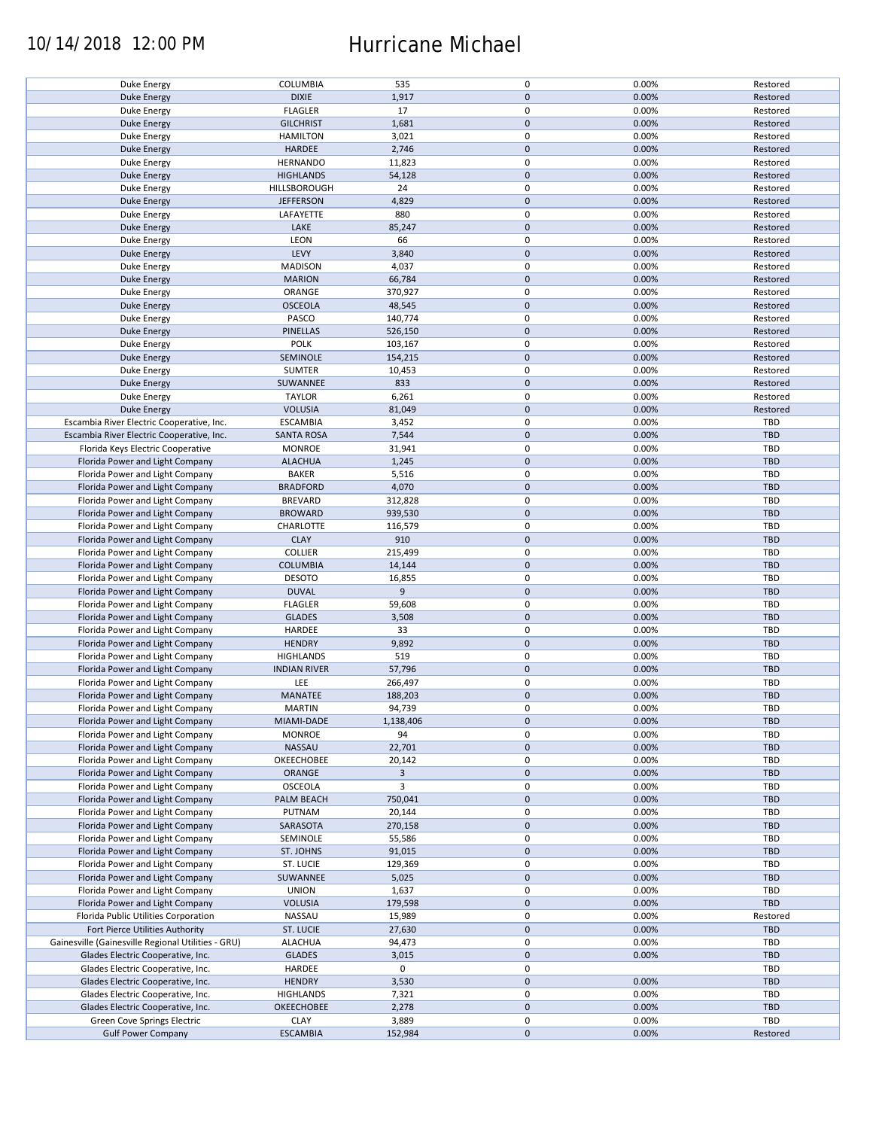### 10/14/2018 12:00 PM Hurricane Michael

| Duke Energy                                        | COLUMBIA            | 535       | $\pmb{0}$   | 0.00% | Restored   |
|----------------------------------------------------|---------------------|-----------|-------------|-------|------------|
| <b>Duke Energy</b>                                 | <b>DIXIE</b>        | 1,917     | $\mathbf 0$ | 0.00% | Restored   |
| Duke Energy                                        | <b>FLAGLER</b>      | 17        | 0           | 0.00% | Restored   |
|                                                    |                     |           |             |       |            |
| <b>Duke Energy</b>                                 | <b>GILCHRIST</b>    | 1,681     | $\mathbf 0$ | 0.00% | Restored   |
| Duke Energy                                        | <b>HAMILTON</b>     | 3,021     | $\mathbf 0$ | 0.00% | Restored   |
| <b>Duke Energy</b>                                 | <b>HARDEE</b>       | 2,746     | $\mathbf 0$ | 0.00% | Restored   |
|                                                    |                     |           |             |       |            |
| Duke Energy                                        | <b>HERNANDO</b>     | 11,823    | $\mathbf 0$ | 0.00% | Restored   |
| <b>Duke Energy</b>                                 | <b>HIGHLANDS</b>    | 54,128    | $\mathbf 0$ | 0.00% | Restored   |
|                                                    |                     | 24        | 0           |       |            |
| Duke Energy                                        | HILLSBOROUGH        |           |             | 0.00% | Restored   |
| <b>Duke Energy</b>                                 | <b>JEFFERSON</b>    | 4,829     | $\mathbf 0$ | 0.00% | Restored   |
| Duke Energy                                        | LAFAYETTE           | 880       | $\mathbf 0$ | 0.00% | Restored   |
|                                                    |                     |           | $\mathbf 0$ |       |            |
| Duke Energy                                        | LAKE                | 85,247    |             | 0.00% | Restored   |
| Duke Energy                                        | LEON                | 66        | 0           | 0.00% | Restored   |
| Duke Energy                                        | LEVY                | 3,840     | $\mathbf 0$ | 0.00% | Restored   |
|                                                    |                     |           |             |       |            |
| Duke Energy                                        | <b>MADISON</b>      | 4,037     | 0           | 0.00% | Restored   |
| <b>Duke Energy</b>                                 | <b>MARION</b>       | 66,784    | $\mathbf 0$ | 0.00% | Restored   |
| Duke Energy                                        | ORANGE              | 370,927   | 0           | 0.00% | Restored   |
|                                                    |                     |           |             |       |            |
| <b>Duke Energy</b>                                 | <b>OSCEOLA</b>      | 48,545    | $\mathbf 0$ | 0.00% | Restored   |
| Duke Energy                                        | PASCO               | 140,774   | $\pmb{0}$   | 0.00% | Restored   |
| <b>Duke Energy</b>                                 | <b>PINELLAS</b>     | 526,150   | $\mathbf 0$ | 0.00% | Restored   |
|                                                    |                     |           |             |       |            |
| Duke Energy                                        | <b>POLK</b>         | 103,167   | $\pmb{0}$   | 0.00% | Restored   |
| <b>Duke Energy</b>                                 | SEMINOLE            | 154,215   | $\pmb{0}$   | 0.00% | Restored   |
|                                                    | <b>SUMTER</b>       |           | $\pmb{0}$   | 0.00% | Restored   |
| Duke Energy                                        |                     | 10,453    |             |       |            |
| <b>Duke Energy</b>                                 | SUWANNEE            | 833       | $\pmb{0}$   | 0.00% | Restored   |
| Duke Energy                                        | <b>TAYLOR</b>       | 6,261     | $\pmb{0}$   | 0.00% | Restored   |
|                                                    | <b>VOLUSIA</b>      |           |             |       |            |
| <b>Duke Energy</b>                                 |                     | 81,049    | $\pmb{0}$   | 0.00% | Restored   |
| Escambia River Electric Cooperative, Inc.          | <b>ESCAMBIA</b>     | 3,452     | $\mathbf 0$ | 0.00% | TBD        |
| Escambia River Electric Cooperative, Inc.          | <b>SANTA ROSA</b>   | 7,544     | $\mathbf 0$ | 0.00% | <b>TBD</b> |
|                                                    |                     |           |             |       |            |
| Florida Keys Electric Cooperative                  | <b>MONROE</b>       | 31,941    | $\mathbf 0$ | 0.00% | <b>TBD</b> |
| Florida Power and Light Company                    | <b>ALACHUA</b>      | 1,245     | $\mathbf 0$ | 0.00% | <b>TBD</b> |
| Florida Power and Light Company                    | <b>BAKER</b>        | 5,516     | $\mathbf 0$ | 0.00% | TBD        |
|                                                    |                     |           |             |       |            |
| Florida Power and Light Company                    | <b>BRADFORD</b>     | 4,070     | $\pmb{0}$   | 0.00% | TBD        |
| Florida Power and Light Company                    | <b>BREVARD</b>      | 312,828   | $\mathbf 0$ | 0.00% | TBD        |
|                                                    |                     |           |             |       |            |
| Florida Power and Light Company                    | <b>BROWARD</b>      | 939,530   | $\pmb{0}$   | 0.00% | <b>TBD</b> |
| Florida Power and Light Company                    | CHARLOTTE           | 116,579   | $\mathbf 0$ | 0.00% | <b>TBD</b> |
| Florida Power and Light Company                    | <b>CLAY</b>         | 910       | $\pmb{0}$   | 0.00% | <b>TBD</b> |
|                                                    |                     |           |             |       |            |
| Florida Power and Light Company                    | <b>COLLIER</b>      | 215,499   | $\mathbf 0$ | 0.00% | <b>TBD</b> |
| Florida Power and Light Company                    | <b>COLUMBIA</b>     | 14,144    | $\pmb{0}$   | 0.00% | <b>TBD</b> |
| Florida Power and Light Company                    | <b>DESOTO</b>       | 16,855    | 0           | 0.00% | TBD        |
|                                                    |                     |           |             |       |            |
| Florida Power and Light Company                    | <b>DUVAL</b>        | 9         | $\pmb{0}$   | 0.00% | <b>TBD</b> |
| Florida Power and Light Company                    | <b>FLAGLER</b>      | 59,608    | 0           | 0.00% | TBD        |
| Florida Power and Light Company                    | <b>GLADES</b>       | 3,508     | $\mathbf 0$ | 0.00% | <b>TBD</b> |
|                                                    |                     |           |             |       |            |
| Florida Power and Light Company                    | HARDEE              | 33        | $\pmb{0}$   | 0.00% | <b>TBD</b> |
| Florida Power and Light Company                    | <b>HENDRY</b>       | 9,892     | $\pmb{0}$   | 0.00% | <b>TBD</b> |
|                                                    |                     |           |             |       |            |
| Florida Power and Light Company                    | <b>HIGHLANDS</b>    | 519       | $\pmb{0}$   | 0.00% | TBD        |
| Florida Power and Light Company                    | <b>INDIAN RIVER</b> | 57,796    | $\pmb{0}$   | 0.00% | <b>TBD</b> |
| Florida Power and Light Company                    | LEE                 | 266,497   | $\pmb{0}$   | 0.00% | TBD        |
|                                                    |                     |           |             |       |            |
| Florida Power and Light Company                    | MANATEE             | 188,203   | $\mathbf 0$ | 0.00% | <b>TBD</b> |
| Florida Power and Light Company                    | <b>MARTIN</b>       | 94,739    | $\mathbf 0$ | 0.00% | <b>TBD</b> |
| Florida Power and Light Company                    | MIAMI-DADE          | 1,138,406 | $\pmb{0}$   | 0.00% | <b>TBD</b> |
|                                                    |                     |           |             |       |            |
| Florida Power and Light Company                    | <b>MONROE</b>       | 94        | 0           | 0.00% | TBD        |
| Florida Power and Light Company                    | NASSAU              | 22,701    | $\mathbf 0$ | 0.00% | <b>TBD</b> |
| Florida Power and Light Company                    | OKEECHOBEE          | 20,142    | 0           | 0.00% | TBD        |
|                                                    |                     |           |             |       |            |
| Florida Power and Light Company                    | ORANGE              | 3         | $\mathbf 0$ | 0.00% | <b>TBD</b> |
| Florida Power and Light Company                    | OSCEOLA             | 3         | 0           | 0.00% | TBD        |
|                                                    |                     | 750,041   | $\pmb{0}$   |       | <b>TBD</b> |
| Florida Power and Light Company                    | PALM BEACH          |           |             | 0.00% |            |
| Florida Power and Light Company                    | PUTNAM              | 20,144    | 0           | 0.00% | TBD        |
| Florida Power and Light Company                    | SARASOTA            | 270,158   | $\pmb{0}$   | 0.00% | <b>TBD</b> |
|                                                    |                     |           |             |       |            |
| Florida Power and Light Company                    | SEMINOLE            | 55,586    | 0           | 0.00% | TBD        |
| Florida Power and Light Company                    | ST. JOHNS           | 91,015    | $\pmb{0}$   | 0.00% | TBD        |
| Florida Power and Light Company                    | ST. LUCIE           | 129,369   | 0           | 0.00% | TBD        |
|                                                    |                     |           |             |       |            |
| Florida Power and Light Company                    | SUWANNEE            | 5,025     | $\pmb{0}$   | 0.00% | <b>TBD</b> |
| Florida Power and Light Company                    | <b>UNION</b>        | 1,637     | 0           | 0.00% | TBD        |
|                                                    |                     |           | $\mathbf 0$ |       | <b>TBD</b> |
| Florida Power and Light Company                    | <b>VOLUSIA</b>      | 179,598   |             | 0.00% |            |
| Florida Public Utilities Corporation               | NASSAU              | 15,989    | 0           | 0.00% | Restored   |
| Fort Pierce Utilities Authority                    | <b>ST. LUCIE</b>    | 27,630    | $\pmb{0}$   | 0.00% | <b>TBD</b> |
|                                                    |                     |           |             |       |            |
| Gainesville (Gainesville Regional Utilities - GRU) | <b>ALACHUA</b>      | 94,473    | 0           | 0.00% | TBD        |
| Glades Electric Cooperative, Inc.                  | <b>GLADES</b>       | 3,015     | $\pmb{0}$   | 0.00% | <b>TBD</b> |
| Glades Electric Cooperative, Inc.                  | HARDEE              | 0         | $\pmb{0}$   |       | TBD        |
|                                                    |                     |           |             |       |            |
| Glades Electric Cooperative, Inc.                  | <b>HENDRY</b>       | 3,530     | $\pmb{0}$   | 0.00% | <b>TBD</b> |
| Glades Electric Cooperative, Inc.                  | <b>HIGHLANDS</b>    | 7,321     | $\pmb{0}$   | 0.00% | TBD        |
|                                                    |                     | 2,278     | $\mathbf 0$ | 0.00% | <b>TBD</b> |
| Glades Electric Cooperative, Inc.                  | <b>OKEECHOBEE</b>   |           |             |       |            |
| Green Cove Springs Electric                        | <b>CLAY</b>         | 3,889     | 0           | 0.00% | TBD        |
| <b>Gulf Power Company</b>                          | <b>ESCAMBIA</b>     | 152,984   | $\mathbf 0$ | 0.00% | Restored   |
|                                                    |                     |           |             |       |            |